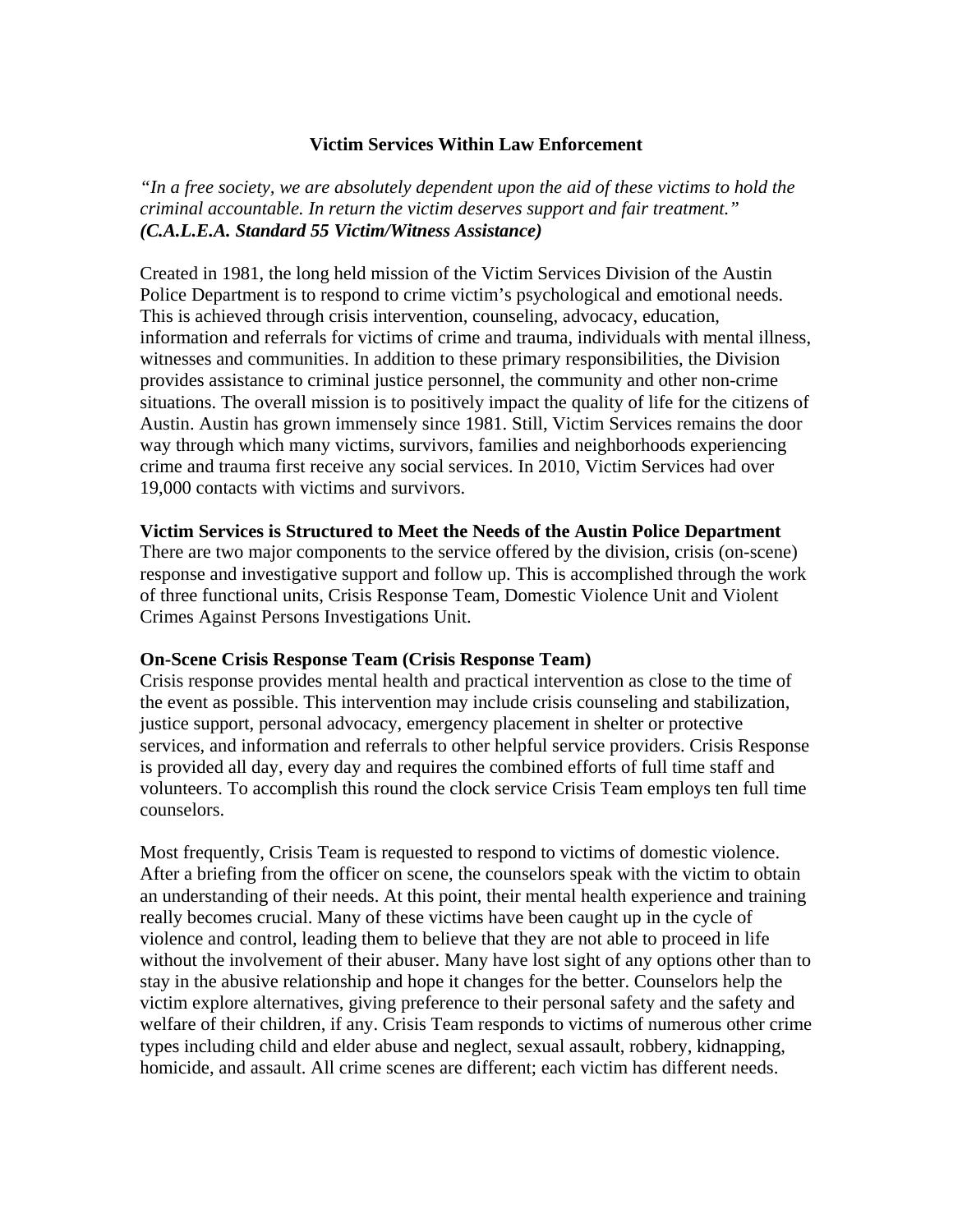### **Victim Services Within Law Enforcement**

*"In a free society, we are absolutely dependent upon the aid of these victims to hold the criminal accountable. In return the victim deserves support and fair treatment." (C.A.L.E.A. Standard 55 Victim/Witness Assistance)* 

Created in 1981, the long held mission of the Victim Services Division of the Austin Police Department is to respond to crime victim's psychological and emotional needs. This is achieved through crisis intervention, counseling, advocacy, education, information and referrals for victims of crime and trauma, individuals with mental illness, witnesses and communities. In addition to these primary responsibilities, the Division provides assistance to criminal justice personnel, the community and other non-crime situations. The overall mission is to positively impact the quality of life for the citizens of Austin. Austin has grown immensely since 1981. Still, Victim Services remains the door way through which many victims, survivors, families and neighborhoods experiencing crime and trauma first receive any social services. In 2010, Victim Services had over 19,000 contacts with victims and survivors.

### **Victim Services is Structured to Meet the Needs of the Austin Police Department**

There are two major components to the service offered by the division, crisis (on-scene) response and investigative support and follow up. This is accomplished through the work of three functional units, Crisis Response Team, Domestic Violence Unit and Violent Crimes Against Persons Investigations Unit.

# **On-Scene Crisis Response Team (Crisis Response Team)**

Crisis response provides mental health and practical intervention as close to the time of the event as possible. This intervention may include crisis counseling and stabilization, justice support, personal advocacy, emergency placement in shelter or protective services, and information and referrals to other helpful service providers. Crisis Response is provided all day, every day and requires the combined efforts of full time staff and volunteers. To accomplish this round the clock service Crisis Team employs ten full time counselors.

Most frequently, Crisis Team is requested to respond to victims of domestic violence. After a briefing from the officer on scene, the counselors speak with the victim to obtain an understanding of their needs. At this point, their mental health experience and training really becomes crucial. Many of these victims have been caught up in the cycle of violence and control, leading them to believe that they are not able to proceed in life without the involvement of their abuser. Many have lost sight of any options other than to stay in the abusive relationship and hope it changes for the better. Counselors help the victim explore alternatives, giving preference to their personal safety and the safety and welfare of their children, if any. Crisis Team responds to victims of numerous other crime types including child and elder abuse and neglect, sexual assault, robbery, kidnapping, homicide, and assault. All crime scenes are different; each victim has different needs.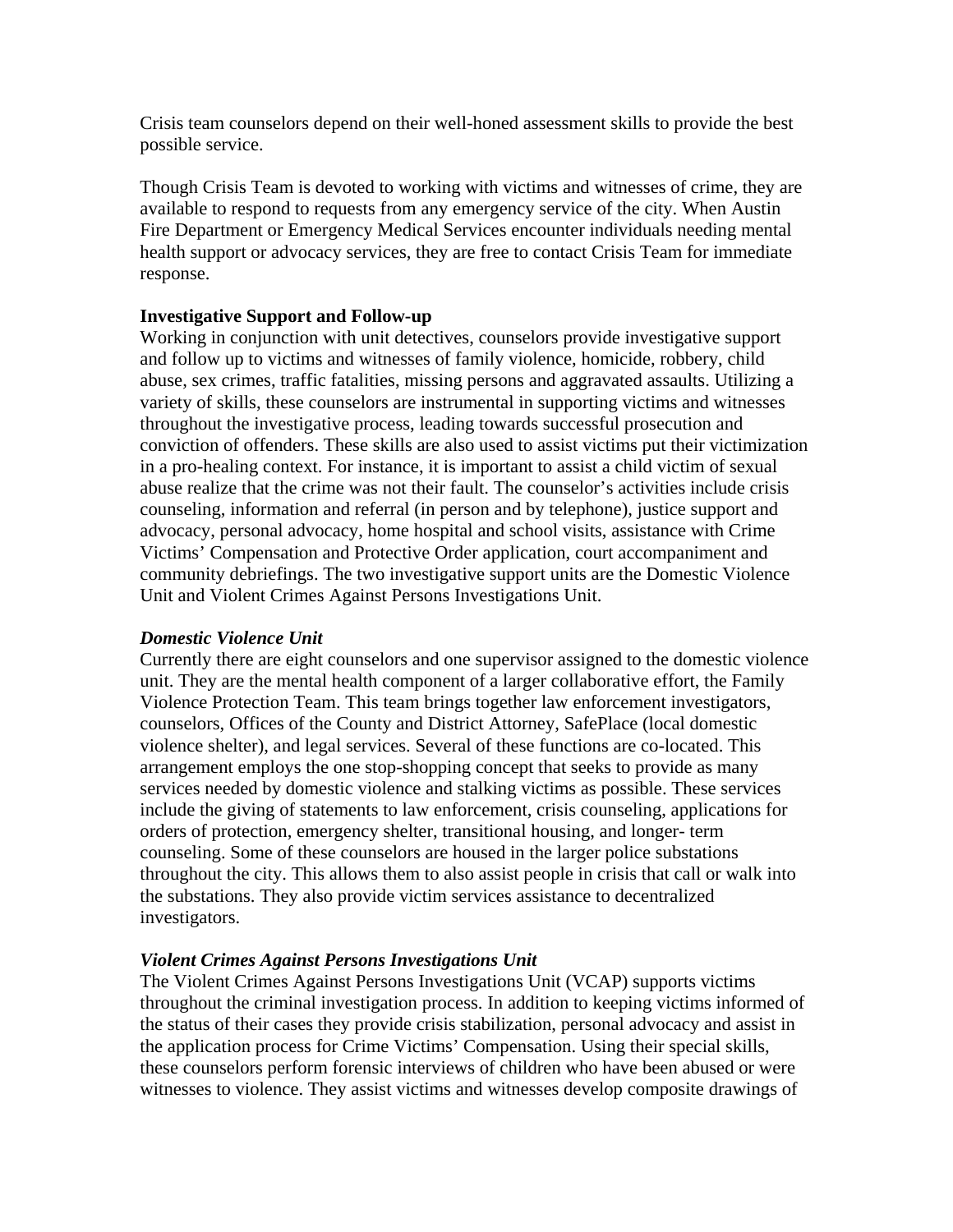Crisis team counselors depend on their well-honed assessment skills to provide the best possible service.

Though Crisis Team is devoted to working with victims and witnesses of crime, they are available to respond to requests from any emergency service of the city. When Austin Fire Department or Emergency Medical Services encounter individuals needing mental health support or advocacy services, they are free to contact Crisis Team for immediate response.

# **Investigative Support and Follow-up**

Working in conjunction with unit detectives, counselors provide investigative support and follow up to victims and witnesses of family violence, homicide, robbery, child abuse, sex crimes, traffic fatalities, missing persons and aggravated assaults. Utilizing a variety of skills, these counselors are instrumental in supporting victims and witnesses throughout the investigative process, leading towards successful prosecution and conviction of offenders. These skills are also used to assist victims put their victimization in a pro-healing context. For instance, it is important to assist a child victim of sexual abuse realize that the crime was not their fault. The counselor's activities include crisis counseling, information and referral (in person and by telephone), justice support and advocacy, personal advocacy, home hospital and school visits, assistance with Crime Victims' Compensation and Protective Order application, court accompaniment and community debriefings. The two investigative support units are the Domestic Violence Unit and Violent Crimes Against Persons Investigations Unit.

# *Domestic Violence Unit*

Currently there are eight counselors and one supervisor assigned to the domestic violence unit. They are the mental health component of a larger collaborative effort, the Family Violence Protection Team. This team brings together law enforcement investigators, counselors, Offices of the County and District Attorney, SafePlace (local domestic violence shelter), and legal services. Several of these functions are co-located. This arrangement employs the one stop-shopping concept that seeks to provide as many services needed by domestic violence and stalking victims as possible. These services include the giving of statements to law enforcement, crisis counseling, applications for orders of protection, emergency shelter, transitional housing, and longer- term counseling. Some of these counselors are housed in the larger police substations throughout the city. This allows them to also assist people in crisis that call or walk into the substations. They also provide victim services assistance to decentralized investigators.

# *Violent Crimes Against Persons Investigations Unit*

The Violent Crimes Against Persons Investigations Unit (VCAP) supports victims throughout the criminal investigation process. In addition to keeping victims informed of the status of their cases they provide crisis stabilization, personal advocacy and assist in the application process for Crime Victims' Compensation. Using their special skills, these counselors perform forensic interviews of children who have been abused or were witnesses to violence. They assist victims and witnesses develop composite drawings of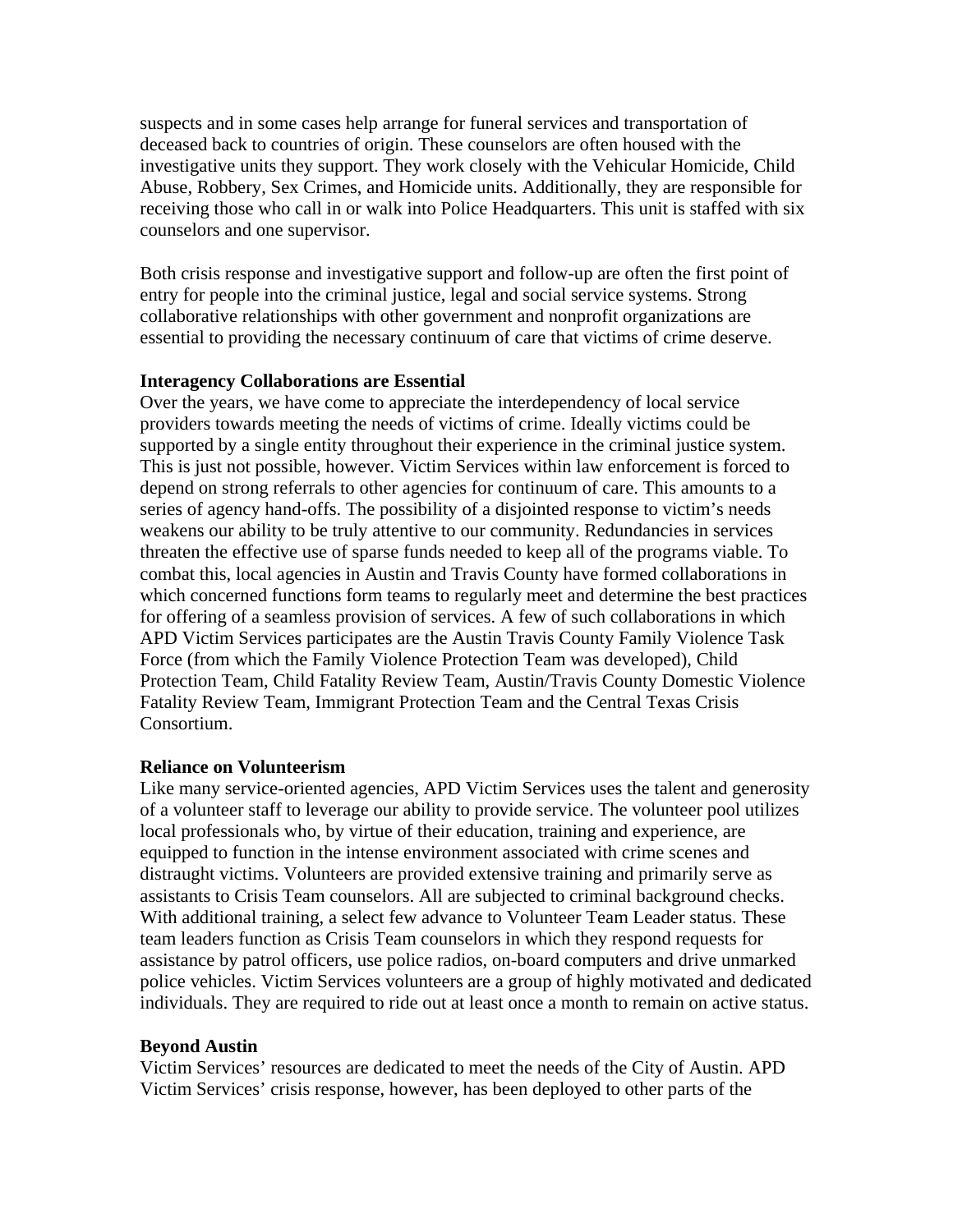suspects and in some cases help arrange for funeral services and transportation of deceased back to countries of origin. These counselors are often housed with the investigative units they support. They work closely with the Vehicular Homicide, Child Abuse, Robbery, Sex Crimes, and Homicide units. Additionally, they are responsible for receiving those who call in or walk into Police Headquarters. This unit is staffed with six counselors and one supervisor.

Both crisis response and investigative support and follow-up are often the first point of entry for people into the criminal justice, legal and social service systems. Strong collaborative relationships with other government and nonprofit organizations are essential to providing the necessary continuum of care that victims of crime deserve.

#### **Interagency Collaborations are Essential**

Over the years, we have come to appreciate the interdependency of local service providers towards meeting the needs of victims of crime. Ideally victims could be supported by a single entity throughout their experience in the criminal justice system. This is just not possible, however. Victim Services within law enforcement is forced to depend on strong referrals to other agencies for continuum of care. This amounts to a series of agency hand-offs. The possibility of a disjointed response to victim's needs weakens our ability to be truly attentive to our community. Redundancies in services threaten the effective use of sparse funds needed to keep all of the programs viable. To combat this, local agencies in Austin and Travis County have formed collaborations in which concerned functions form teams to regularly meet and determine the best practices for offering of a seamless provision of services. A few of such collaborations in which APD Victim Services participates are the Austin Travis County Family Violence Task Force (from which the Family Violence Protection Team was developed), Child Protection Team, Child Fatality Review Team, Austin/Travis County Domestic Violence Fatality Review Team, Immigrant Protection Team and the Central Texas Crisis Consortium.

### **Reliance on Volunteerism**

Like many service-oriented agencies, APD Victim Services uses the talent and generosity of a volunteer staff to leverage our ability to provide service. The volunteer pool utilizes local professionals who, by virtue of their education, training and experience, are equipped to function in the intense environment associated with crime scenes and distraught victims. Volunteers are provided extensive training and primarily serve as assistants to Crisis Team counselors. All are subjected to criminal background checks. With additional training, a select few advance to Volunteer Team Leader status. These team leaders function as Crisis Team counselors in which they respond requests for assistance by patrol officers, use police radios, on-board computers and drive unmarked police vehicles. Victim Services volunteers are a group of highly motivated and dedicated individuals. They are required to ride out at least once a month to remain on active status.

#### **Beyond Austin**

Victim Services' resources are dedicated to meet the needs of the City of Austin. APD Victim Services' crisis response, however, has been deployed to other parts of the